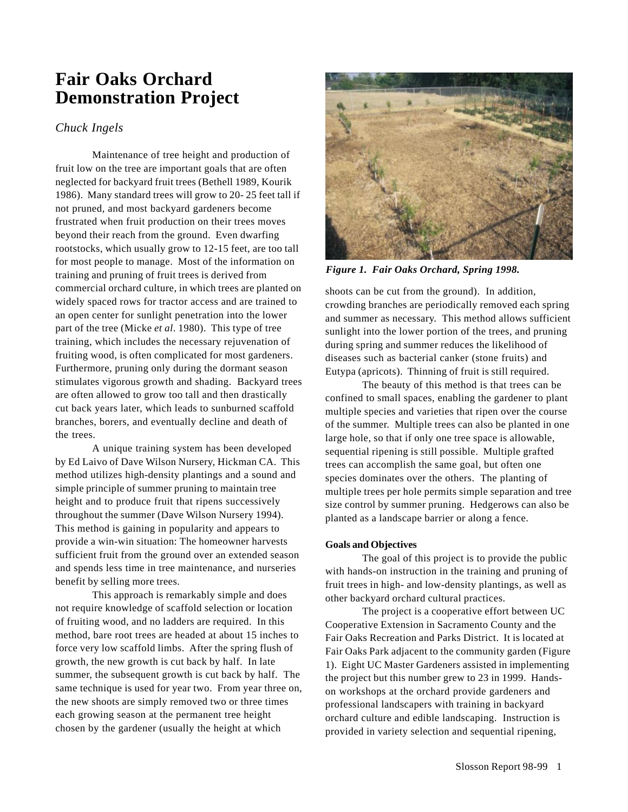# **Fair Oaks Orchard Demonstration Project**

## *Chuck Ingels*

Maintenance of tree height and production of fruit low on the tree are important goals that are often neglected for backyard fruit trees (Bethell 1989, Kourik 1986). Many standard trees will grow to 20- 25 feet tall if not pruned, and most backyard gardeners become frustrated when fruit production on their trees moves beyond their reach from the ground. Even dwarfing rootstocks, which usually grow to 12-15 feet, are too tall for most people to manage. Most of the information on training and pruning of fruit trees is derived from commercial orchard culture, in which trees are planted on widely spaced rows for tractor access and are trained to an open center for sunlight penetration into the lower part of the tree (Micke *et al*. 1980). This type of tree training, which includes the necessary rejuvenation of fruiting wood, is often complicated for most gardeners. Furthermore, pruning only during the dormant season stimulates vigorous growth and shading. Backyard trees are often allowed to grow too tall and then drastically cut back years later, which leads to sunburned scaffold branches, borers, and eventually decline and death of the trees.

A unique training system has been developed by Ed Laivo of Dave Wilson Nursery, Hickman CA. This method utilizes high-density plantings and a sound and simple principle of summer pruning to maintain tree height and to produce fruit that ripens successively throughout the summer (Dave Wilson Nursery 1994). This method is gaining in popularity and appears to provide a win-win situation: The homeowner harvests sufficient fruit from the ground over an extended season and spends less time in tree maintenance, and nurseries benefit by selling more trees.

This approach is remarkably simple and does not require knowledge of scaffold selection or location of fruiting wood, and no ladders are required. In this method, bare root trees are headed at about 15 inches to force very low scaffold limbs. After the spring flush of growth, the new growth is cut back by half. In late summer, the subsequent growth is cut back by half. The same technique is used for year two. From year three on, the new shoots are simply removed two or three times each growing season at the permanent tree height chosen by the gardener (usually the height at which



*Figure 1. Fair Oaks Orchard, Spring 1998.*

shoots can be cut from the ground). In addition, crowding branches are periodically removed each spring and summer as necessary. This method allows sufficient sunlight into the lower portion of the trees, and pruning during spring and summer reduces the likelihood of diseases such as bacterial canker (stone fruits) and Eutypa (apricots). Thinning of fruit is still required.

The beauty of this method is that trees can be confined to small spaces, enabling the gardener to plant multiple species and varieties that ripen over the course of the summer. Multiple trees can also be planted in one large hole, so that if only one tree space is allowable, sequential ripening is still possible. Multiple grafted trees can accomplish the same goal, but often one species dominates over the others. The planting of multiple trees per hole permits simple separation and tree size control by summer pruning. Hedgerows can also be planted as a landscape barrier or along a fence.

## **Goals and Objectives**

The goal of this project is to provide the public with hands-on instruction in the training and pruning of fruit trees in high- and low-density plantings, as well as other backyard orchard cultural practices.

The project is a cooperative effort between UC Cooperative Extension in Sacramento County and the Fair Oaks Recreation and Parks District. It is located at Fair Oaks Park adjacent to the community garden (Figure 1). Eight UC Master Gardeners assisted in implementing the project but this number grew to 23 in 1999. Handson workshops at the orchard provide gardeners and professional landscapers with training in backyard orchard culture and edible landscaping. Instruction is provided in variety selection and sequential ripening,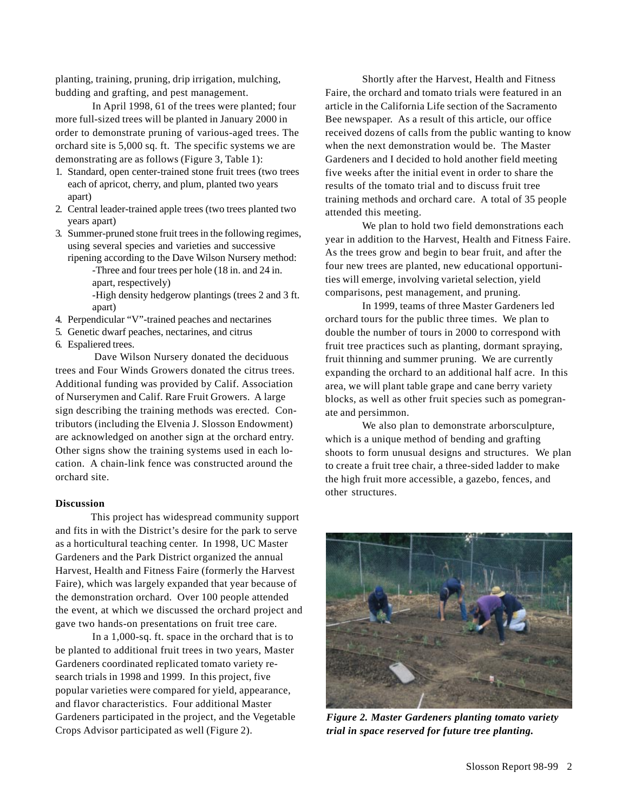planting, training, pruning, drip irrigation, mulching, budding and grafting, and pest management.

In April 1998, 61 of the trees were planted; four more full-sized trees will be planted in January 2000 in order to demonstrate pruning of various-aged trees. The orchard site is 5,000 sq. ft. The specific systems we are demonstrating are as follows (Figure 3, Table 1):

- 1. Standard, open center-trained stone fruit trees (two trees each of apricot, cherry, and plum, planted two years apart)
- 2. Central leader-trained apple trees (two trees planted two years apart)
- 3. Summer-pruned stone fruit trees in the following regimes, using several species and varieties and successive ripening according to the Dave Wilson Nursery method:

-Three and four trees per hole (18 in. and 24 in. apart, respectively)

- 
- -High density hedgerow plantings (trees 2 and 3 ft. apart)
- 4. Perpendicular "V"-trained peaches and nectarines
- 5. Genetic dwarf peaches, nectarines, and citrus
- 6. Espaliered trees.

 Dave Wilson Nursery donated the deciduous trees and Four Winds Growers donated the citrus trees. Additional funding was provided by Calif. Association of Nurserymen and Calif. Rare Fruit Growers. A large sign describing the training methods was erected. Contributors (including the Elvenia J. Slosson Endowment) are acknowledged on another sign at the orchard entry. Other signs show the training systems used in each location. A chain-link fence was constructed around the orchard site.

#### **Discussion**

 This project has widespread community support and fits in with the District's desire for the park to serve as a horticultural teaching center. In 1998, UC Master Gardeners and the Park District organized the annual Harvest, Health and Fitness Faire (formerly the Harvest Faire), which was largely expanded that year because of the demonstration orchard. Over 100 people attended the event, at which we discussed the orchard project and gave two hands-on presentations on fruit tree care.

In a 1,000-sq. ft. space in the orchard that is to be planted to additional fruit trees in two years, Master Gardeners coordinated replicated tomato variety research trials in 1998 and 1999. In this project, five popular varieties were compared for yield, appearance, and flavor characteristics. Four additional Master Gardeners participated in the project, and the Vegetable Crops Advisor participated as well (Figure 2).

Shortly after the Harvest, Health and Fitness Faire, the orchard and tomato trials were featured in an article in the California Life section of the Sacramento Bee newspaper. As a result of this article, our office received dozens of calls from the public wanting to know when the next demonstration would be. The Master Gardeners and I decided to hold another field meeting five weeks after the initial event in order to share the results of the tomato trial and to discuss fruit tree training methods and orchard care. A total of 35 people attended this meeting.

We plan to hold two field demonstrations each year in addition to the Harvest, Health and Fitness Faire. As the trees grow and begin to bear fruit, and after the four new trees are planted, new educational opportunities will emerge, involving varietal selection, yield comparisons, pest management, and pruning.

In 1999, teams of three Master Gardeners led orchard tours for the public three times. We plan to double the number of tours in 2000 to correspond with fruit tree practices such as planting, dormant spraying, fruit thinning and summer pruning. We are currently expanding the orchard to an additional half acre. In this area, we will plant table grape and cane berry variety blocks, as well as other fruit species such as pomegranate and persimmon.

We also plan to demonstrate arborsculpture, which is a unique method of bending and grafting shoots to form unusual designs and structures. We plan to create a fruit tree chair, a three-sided ladder to make the high fruit more accessible, a gazebo, fences, and other structures.



*Figure 2. Master Gardeners planting tomato variety trial in space reserved for future tree planting.*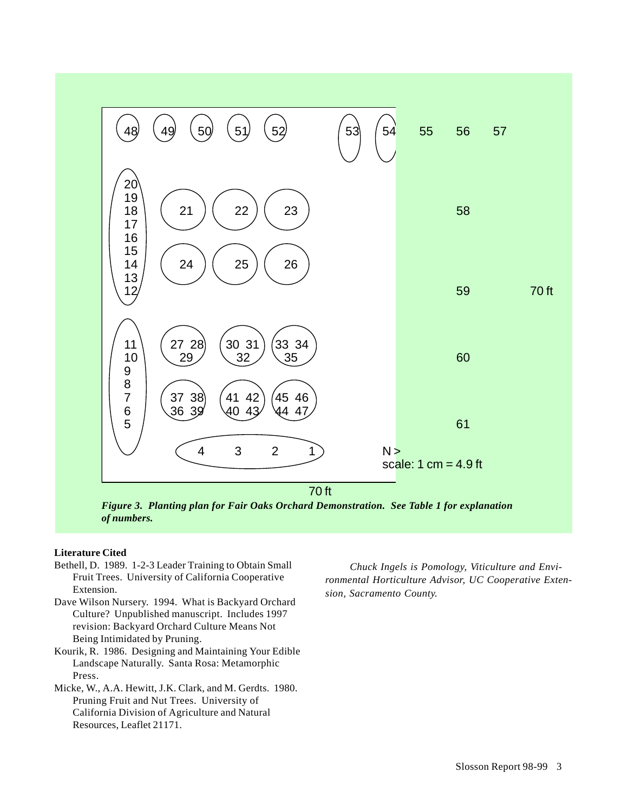

*Figure 3. Planting plan for Fair Oaks Orchard Demonstration. See Table 1 for explanation of numbers.*

## **Literature Cited**

- Bethell, D. 1989. 1-2-3 Leader Training to Obtain Small Fruit Trees. University of California Cooperative Extension.
- Dave Wilson Nursery. 1994. What is Backyard Orchard Culture? Unpublished manuscript. Includes 1997 revision: Backyard Orchard Culture Means Not Being Intimidated by Pruning.
- Kourik, R. 1986. Designing and Maintaining Your Edible Landscape Naturally. Santa Rosa: Metamorphic Press.
- Micke, W., A.A. Hewitt, J.K. Clark, and M. Gerdts. 1980. Pruning Fruit and Nut Trees. University of California Division of Agriculture and Natural Resources, Leaflet 21171.

*Chuck Ingels is Pomology, Viticulture and Environmental Horticulture Advisor, UC Cooperative Extension, Sacramento County.*